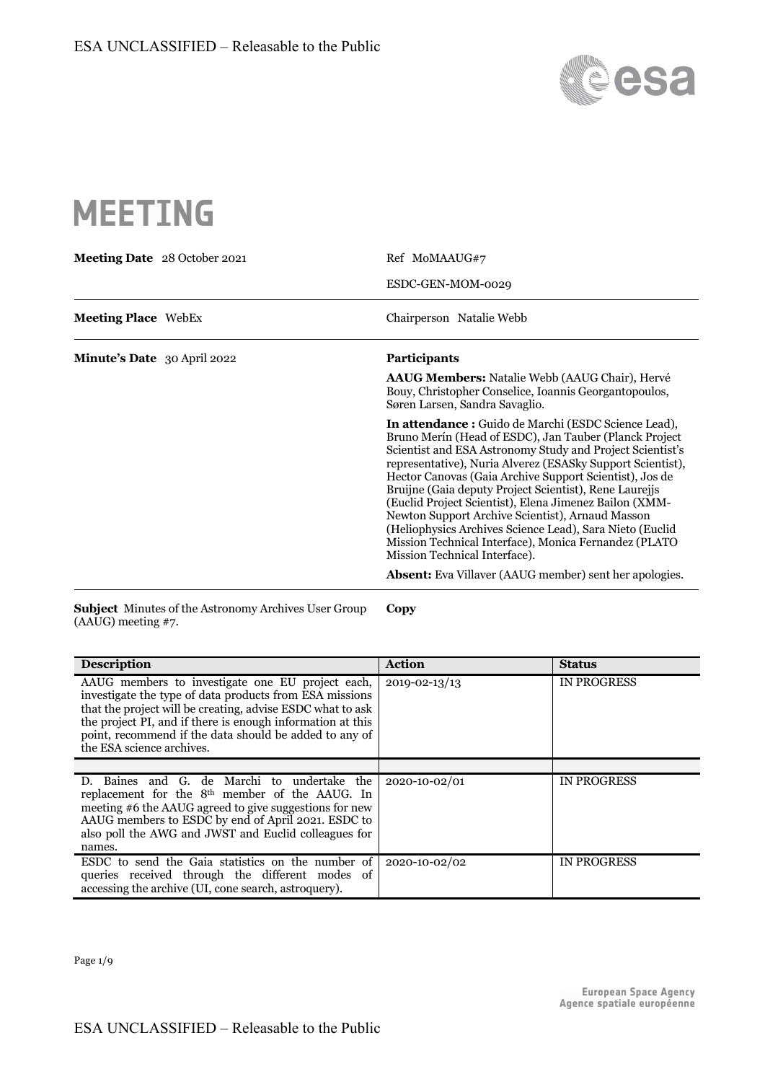

# **MEETING**

| <b>Meeting Date</b> 28 October 2021 | Ref MoMAAUG#7                                                                                                                                                                                                                                                                                                                                                                                                                                                                                                                                                                                                                      |  |
|-------------------------------------|------------------------------------------------------------------------------------------------------------------------------------------------------------------------------------------------------------------------------------------------------------------------------------------------------------------------------------------------------------------------------------------------------------------------------------------------------------------------------------------------------------------------------------------------------------------------------------------------------------------------------------|--|
|                                     | ESDC-GEN-MOM-0029                                                                                                                                                                                                                                                                                                                                                                                                                                                                                                                                                                                                                  |  |
| <b>Meeting Place</b> WebEx          | Chairperson Natalie Webb                                                                                                                                                                                                                                                                                                                                                                                                                                                                                                                                                                                                           |  |
| Minute's Date 30 April 2022         | <b>Participants</b>                                                                                                                                                                                                                                                                                                                                                                                                                                                                                                                                                                                                                |  |
|                                     | <b>AAUG Members:</b> Natalie Webb (AAUG Chair), Hervé<br>Bouy, Christopher Conselice, Ioannis Georgantopoulos,<br>Søren Larsen, Sandra Savaglio.                                                                                                                                                                                                                                                                                                                                                                                                                                                                                   |  |
|                                     | In attendance : Guido de Marchi (ESDC Science Lead),<br>Bruno Merín (Head of ESDC), Jan Tauber (Planck Project<br>Scientist and ESA Astronomy Study and Project Scientist's<br>representative), Nuria Alverez (ESASky Support Scientist),<br>Hector Canovas (Gaia Archive Support Scientist), Jos de<br>Bruijne (Gaia deputy Project Scientist), Rene Laurejjs<br>(Euclid Project Scientist), Elena Jimenez Bailon (XMM-<br>Newton Support Archive Scientist), Arnaud Masson<br>(Heliophysics Archives Science Lead), Sara Nieto (Euclid<br>Mission Technical Interface), Monica Fernandez (PLATO<br>Mission Technical Interface). |  |
|                                     | <b>Absent:</b> Eva Villaver (AAUG member) sent her apologies.                                                                                                                                                                                                                                                                                                                                                                                                                                                                                                                                                                      |  |

**Subject** Minutes of the Astronomy Archives User Group (AAUG) meeting #7. **Copy**

| <b>Description</b>                                                                                                                                                                                                                                                                                                             | <b>Action</b>       | <b>Status</b>      |
|--------------------------------------------------------------------------------------------------------------------------------------------------------------------------------------------------------------------------------------------------------------------------------------------------------------------------------|---------------------|--------------------|
| AAUG members to investigate one EU project each,<br>investigate the type of data products from ESA missions<br>that the project will be creating, advise ESDC what to ask<br>the project PI, and if there is enough information at this<br>point, recommend if the data should be added to any of<br>the ESA science archives. | $2019 - 02 - 13/13$ | <b>IN PROGRESS</b> |
|                                                                                                                                                                                                                                                                                                                                |                     |                    |
| D. Baines and G. de Marchi to undertake the<br>replacement for the 8 <sup>th</sup> member of the AAUG. In<br>meeting #6 the AAUG agreed to give suggestions for new<br>AAUG members to ESDC by end of April 2021. ESDC to<br>also poll the AWG and JWST and Euclid colleagues for<br>names.                                    | 2020-10-02/01       | <b>IN PROGRESS</b> |
| ESDC to send the Gaia statistics on the number of<br>queries received through the different modes of<br>accessing the archive (UI, cone search, astroquery).                                                                                                                                                                   | 2020-10-02/02       | <b>IN PROGRESS</b> |

Page 1/9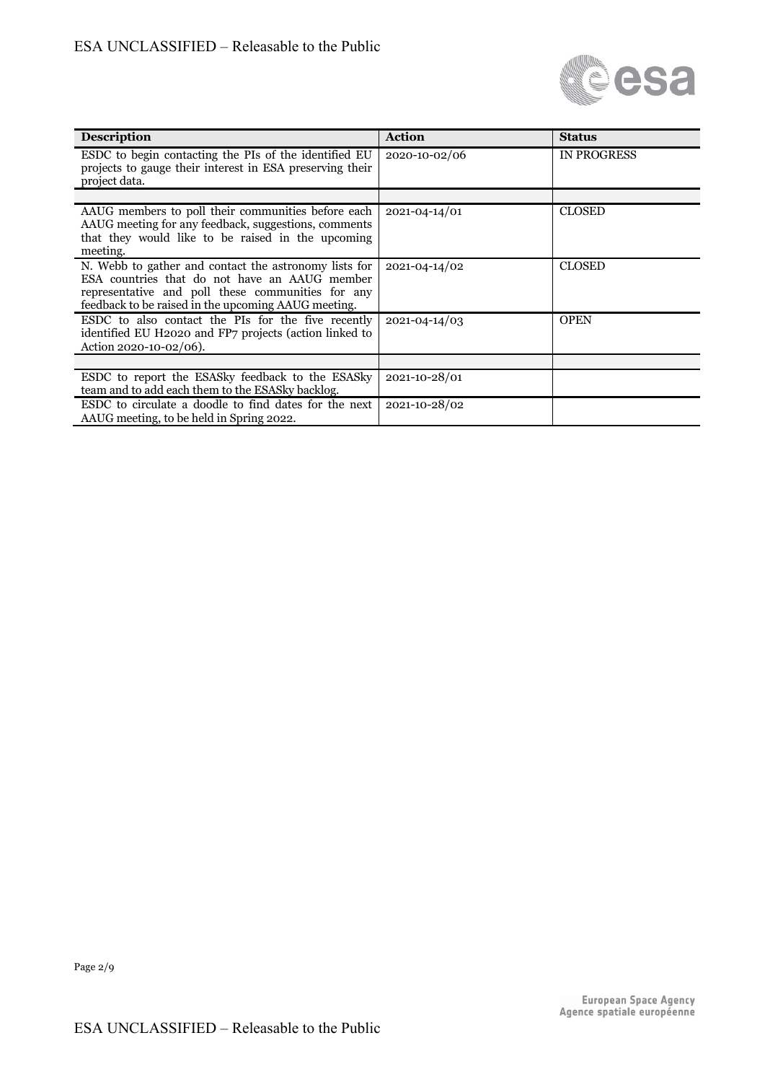

| <b>Description</b>                                                                                                                                                                                                 | <b>Action</b> | <b>Status</b>      |
|--------------------------------------------------------------------------------------------------------------------------------------------------------------------------------------------------------------------|---------------|--------------------|
| ESDC to begin contacting the PIs of the identified EU<br>projects to gauge their interest in ESA preserving their<br>project data.                                                                                 | 2020-10-02/06 | <b>IN PROGRESS</b> |
|                                                                                                                                                                                                                    |               |                    |
| AAUG members to poll their communities before each<br>AAUG meeting for any feedback, suggestions, comments<br>that they would like to be raised in the upcoming<br>meeting.                                        | 2021-04-14/01 | <b>CLOSED</b>      |
| N. Webb to gather and contact the astronomy lists for<br>ESA countries that do not have an AAUG member<br>representative and poll these communities for any<br>feedback to be raised in the upcoming AAUG meeting. | 2021-04-14/02 | <b>CLOSED</b>      |
| ESDC to also contact the PIs for the five recently<br>identified EU H2020 and FP7 projects (action linked to<br>Action 2020-10-02/06).                                                                             | 2021-04-14/03 | <b>OPEN</b>        |
|                                                                                                                                                                                                                    |               |                    |
| ESDC to report the ESAS ky feedback to the ESAS ky<br>team and to add each them to the ESAS ky backlog.                                                                                                            | 2021-10-28/01 |                    |
| ESDC to circulate a doodle to find dates for the next<br>AAUG meeting, to be held in Spring 2022.                                                                                                                  | 2021-10-28/02 |                    |

Page 2/9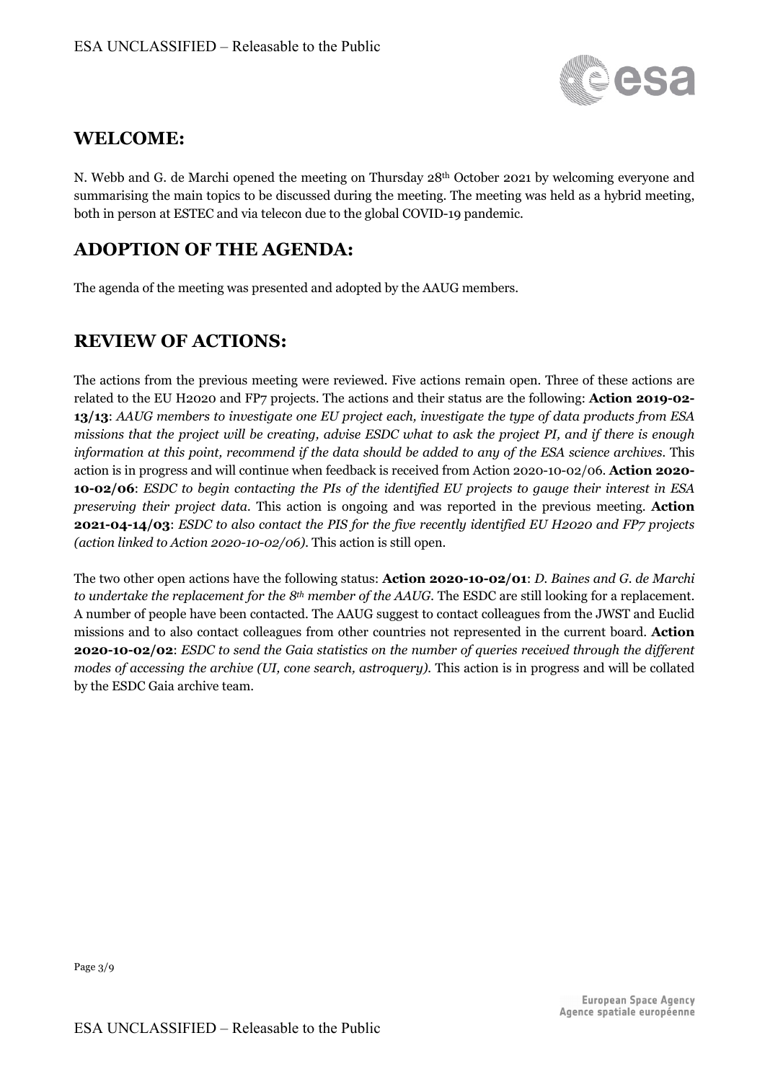

# **WELCOME:**

N. Webb and G. de Marchi opened the meeting on Thursday 28<sup>th</sup> October 2021 by welcoming everyone and summarising the main topics to be discussed during the meeting. The meeting was held as a hybrid meeting, both in person at ESTEC and via telecon due to the global COVID-19 pandemic.

## **ADOPTION OF THE AGENDA:**

The agenda of the meeting was presented and adopted by the AAUG members.

# **REVIEW OF ACTIONS:**

The actions from the previous meeting were reviewed. Five actions remain open. Three of these actions are related to the EU H2020 and FP7 projects. The actions and their status are the following: **Action 2019-02- 13/13**: *AAUG members to investigate one EU project each, investigate the type of data products from ESA missions that the project will be creating, advise ESDC what to ask the project PI, and if there is enough information at this point, recommend if the data should be added to any of the ESA science archives.* This action is in progress and will continue when feedback is received from Action 2020-10-02/06. **Action 2020- 10-02/06**: *ESDC to begin contacting the PIs of the identified EU projects to gauge their interest in ESA preserving their project data.* This action is ongoing and was reported in the previous meeting. **Action 2021-04-14/03**: *ESDC to also contact the PIS for the five recently identified EU H2020 and FP7 projects (action linked to Action 2020-10-02/06).* This action is still open.

The two other open actions have the following status: **Action 2020-10-02/01**: *D. Baines and G. de Marchi to undertake the replacement for the 8th member of the AAUG.* The ESDC are still looking for a replacement. A number of people have been contacted. The AAUG suggest to contact colleagues from the JWST and Euclid missions and to also contact colleagues from other countries not represented in the current board. **Action 2020-10-02/02**: *ESDC to send the Gaia statistics on the number of queries received through the different modes of accessing the archive (UI, cone search, astroquery).* This action is in progress and will be collated by the ESDC Gaia archive team.

Page 3/9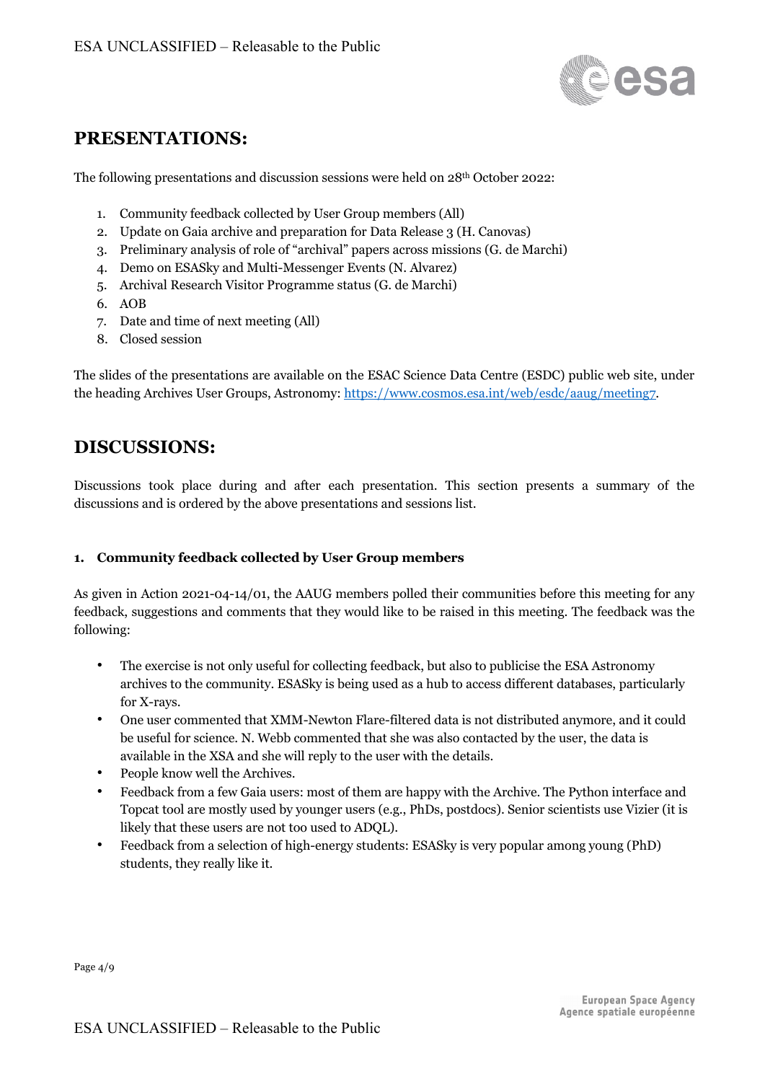

## **PRESENTATIONS:**

The following presentations and discussion sessions were held on 28th October 2022:

- 1. Community feedback collected by User Group members (All)
- 2. Update on Gaia archive and preparation for Data Release 3 (H. Canovas)
- 3. Preliminary analysis of role of "archival" papers across missions (G. de Marchi)
- 4. Demo on ESASky and Multi-Messenger Events (N. Alvarez)
- 5. Archival Research Visitor Programme status (G. de Marchi)
- 6. AOB
- 7. Date and time of next meeting (All)
- 8. Closed session

The slides of the presentations are available on the ESAC Science Data Centre (ESDC) public web site, under the heading Archives User Groups, Astronomy: https://www.cosmos.esa.int/web/esdc/aaug/meeting7.

# **DISCUSSIONS:**

Discussions took place during and after each presentation. This section presents a summary of the discussions and is ordered by the above presentations and sessions list.

#### **1. Community feedback collected by User Group members**

As given in Action 2021-04-14/01, the AAUG members polled their communities before this meeting for any feedback, suggestions and comments that they would like to be raised in this meeting. The feedback was the following:

- The exercise is not only useful for collecting feedback, but also to publicise the ESA Astronomy archives to the community. ESASky is being used as a hub to access different databases, particularly for X-rays.
- One user commented that XMM-Newton Flare-filtered data is not distributed anymore, and it could be useful for science. N. Webb commented that she was also contacted by the user, the data is available in the XSA and she will reply to the user with the details.
- People know well the Archives.
- Feedback from a few Gaia users: most of them are happy with the Archive. The Python interface and Topcat tool are mostly used by younger users (e.g., PhDs, postdocs). Senior scientists use Vizier (it is likely that these users are not too used to ADQL).
- Feedback from a selection of high-energy students: ESASky is very popular among young (PhD) students, they really like it.

Page 4/9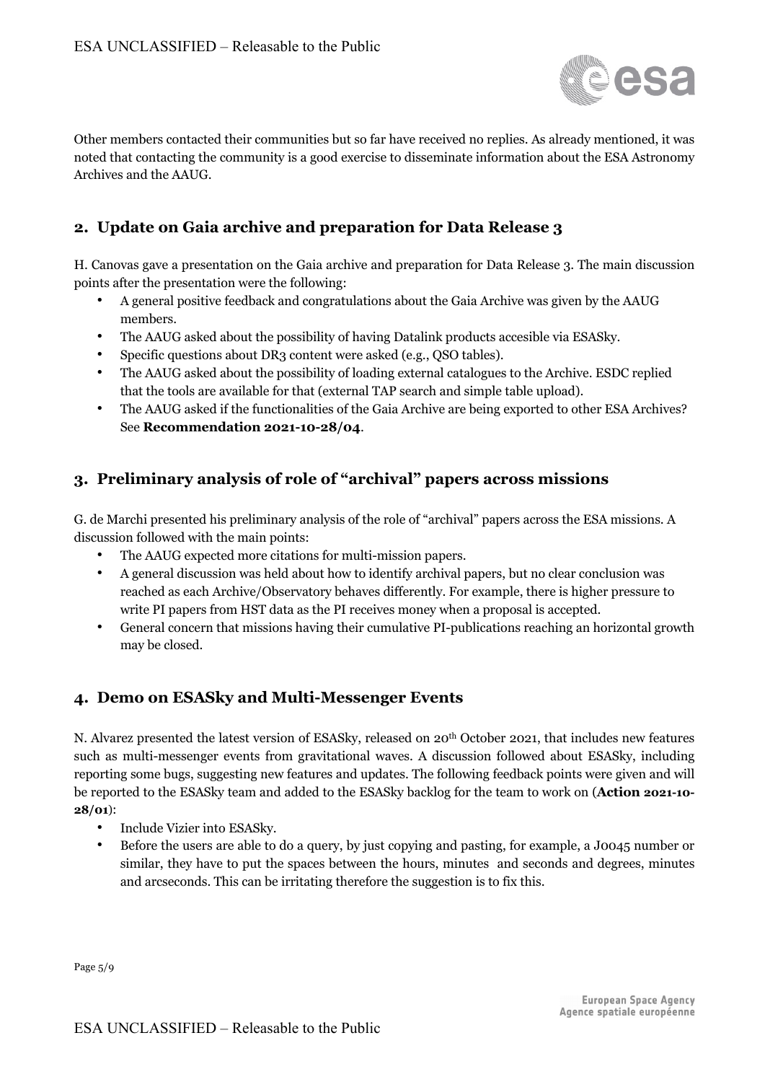

Other members contacted their communities but so far have received no replies. As already mentioned, it was noted that contacting the community is a good exercise to disseminate information about the ESA Astronomy Archives and the AAUG.

## **2. Update on Gaia archive and preparation for Data Release 3**

H. Canovas gave a presentation on the Gaia archive and preparation for Data Release 3. The main discussion points after the presentation were the following:

- A general positive feedback and congratulations about the Gaia Archive was given by the AAUG members.
- The AAUG asked about the possibility of having Datalink products accesible via ESASky.
- Specific questions about DR3 content were asked (e.g., QSO tables).
- The AAUG asked about the possibility of loading external catalogues to the Archive. ESDC replied that the tools are available for that (external TAP search and simple table upload).
- The AAUG asked if the functionalities of the Gaia Archive are being exported to other ESA Archives? See **Recommendation 2021-10-28/04**.

## **3. Preliminary analysis of role of "archival" papers across missions**

G. de Marchi presented his preliminary analysis of the role of "archival" papers across the ESA missions. A discussion followed with the main points:

- The AAUG expected more citations for multi-mission papers.
- A general discussion was held about how to identify archival papers, but no clear conclusion was reached as each Archive/Observatory behaves differently. For example, there is higher pressure to write PI papers from HST data as the PI receives money when a proposal is accepted.
- General concern that missions having their cumulative PI-publications reaching an horizontal growth may be closed.

#### **4. Demo on ESASky and Multi-Messenger Events**

N. Alvarez presented the latest version of ESASky, released on 20th October 2021, that includes new features such as multi-messenger events from gravitational waves. A discussion followed about ESASky, including reporting some bugs, suggesting new features and updates. The following feedback points were given and will be reported to the ESASky team and added to the ESASky backlog for the team to work on (**Action 2021-10- 28/01**):

- Include Vizier into ESASky.
- Before the users are able to do a query, by just copying and pasting, for example, a J0045 number or similar, they have to put the spaces between the hours, minutes and seconds and degrees, minutes and arcseconds. This can be irritating therefore the suggestion is to fix this.

Page 5/9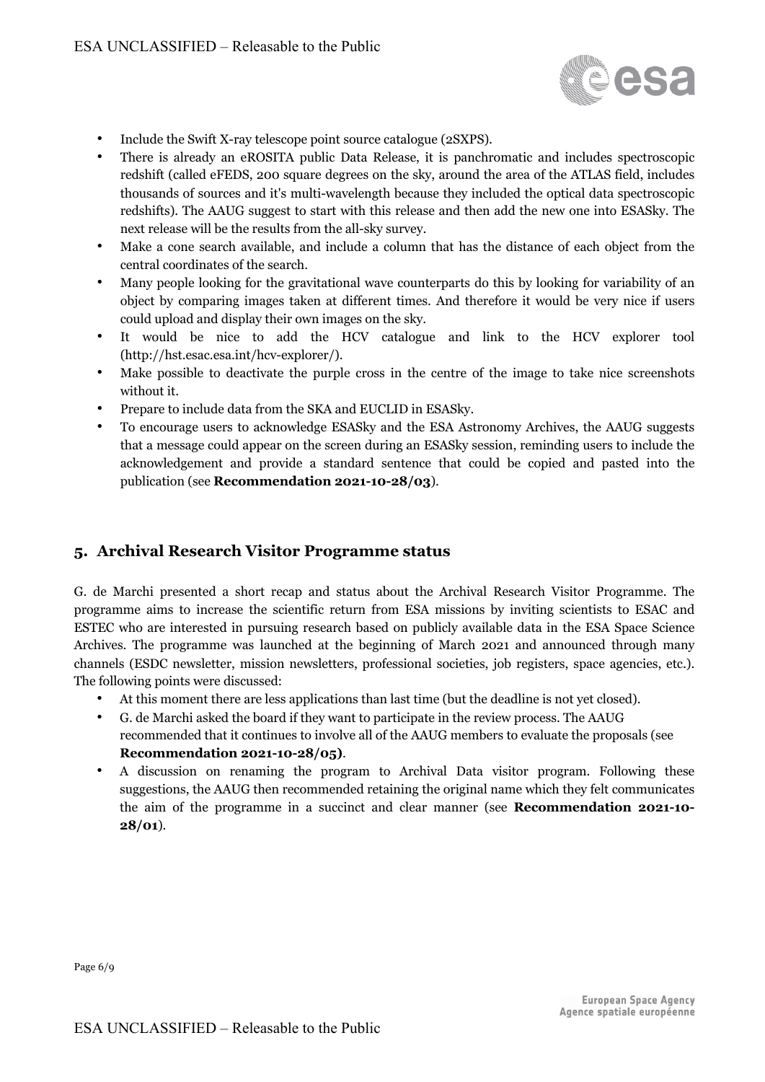

- Include the Swift X-ray telescope point source catalogue (2SXPS).
- There is already an eROSITA public Data Release, it is panchromatic and includes spectroscopic redshift (called eFEDS, 200 square degrees on the sky, around the area of the ATLAS field, includes thousands of sources and it's multi-wavelength because they included the optical data spectroscopic redshifts). The AAUG suggest to start with this release and then add the new one into ESASky. The next release will be the results from the all-sky survey.
- Make a cone search available, and include a column that has the distance of each object from the central coordinates of the search.
- Many people looking for the gravitational wave counterparts do this by looking for variability of an object by comparing images taken at different times. And therefore it would be very nice if users could upload and display their own images on the sky.
- It would be nice to add the HCV catalogue and link to the HCV explorer tool (http://hst.esac.esa.int/hcv-explorer/).
- Make possible to deactivate the purple cross in the centre of the image to take nice screenshots without it.
- Prepare to include data from the SKA and EUCLID in ESASky.
- To encourage users to acknowledge ESASky and the ESA Astronomy Archives, the AAUG suggests that a message could appear on the screen during an ESASky session, reminding users to include the acknowledgement and provide a standard sentence that could be copied and pasted into the publication (see **Recommendation 2021-10-28/03**).

#### **5. Archival Research Visitor Programme status**

G. de Marchi presented a short recap and status about the Archival Research Visitor Programme. The programme aims to increase the scientific return from ESA missions by inviting scientists to ESAC and ESTEC who are interested in pursuing research based on publicly available data in the ESA Space Science Archives. The programme was launched at the beginning of March 2021 and announced through many channels (ESDC newsletter, mission newsletters, professional societies, job registers, space agencies, etc.). The following points were discussed:

- At this moment there are less applications than last time (but the deadline is not yet closed).
- G. de Marchi asked the board if they want to participate in the review process. The AAUG recommended that it continues to involve all of the AAUG members to evaluate the proposals (see **Recommendation 2021-10-28/05)**.
- A discussion on renaming the program to Archival Data visitor program. Following these suggestions, the AAUG then recommended retaining the original name which they felt communicates the aim of the programme in a succinct and clear manner (see **Recommendation 2021-10- 28/01**).

Page 6/9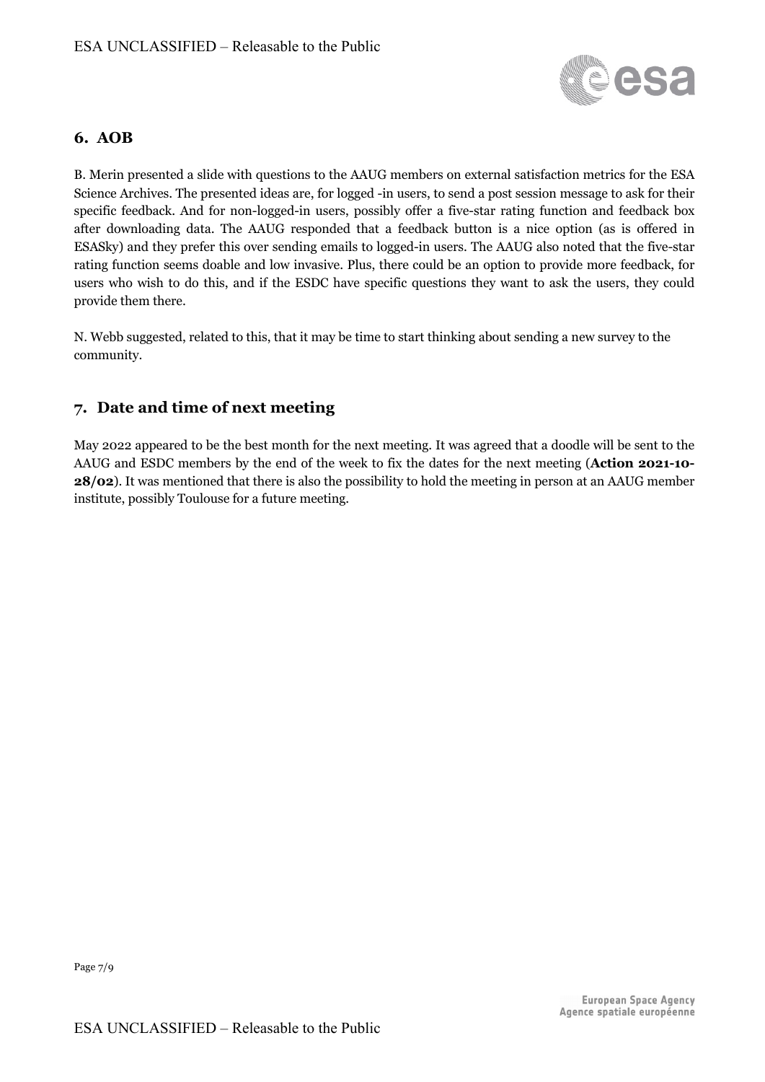

#### **6. AOB**

B. Merin presented a slide with questions to the AAUG members on external satisfaction metrics for the ESA Science Archives. The presented ideas are, for logged -in users, to send a post session message to ask for their specific feedback. And for non-logged-in users, possibly offer a five-star rating function and feedback box after downloading data. The AAUG responded that a feedback button is a nice option (as is offered in ESASky) and they prefer this over sending emails to logged-in users. The AAUG also noted that the five-star rating function seems doable and low invasive. Plus, there could be an option to provide more feedback, for users who wish to do this, and if the ESDC have specific questions they want to ask the users, they could provide them there.

N. Webb suggested, related to this, that it may be time to start thinking about sending a new survey to the community.

## **7. Date and time of next meeting**

May 2022 appeared to be the best month for the next meeting. It was agreed that a doodle will be sent to the AAUG and ESDC members by the end of the week to fix the dates for the next meeting (**Action 2021-10- 28/02**). It was mentioned that there is also the possibility to hold the meeting in person at an AAUG member institute, possibly Toulouse for a future meeting.

Page 7/9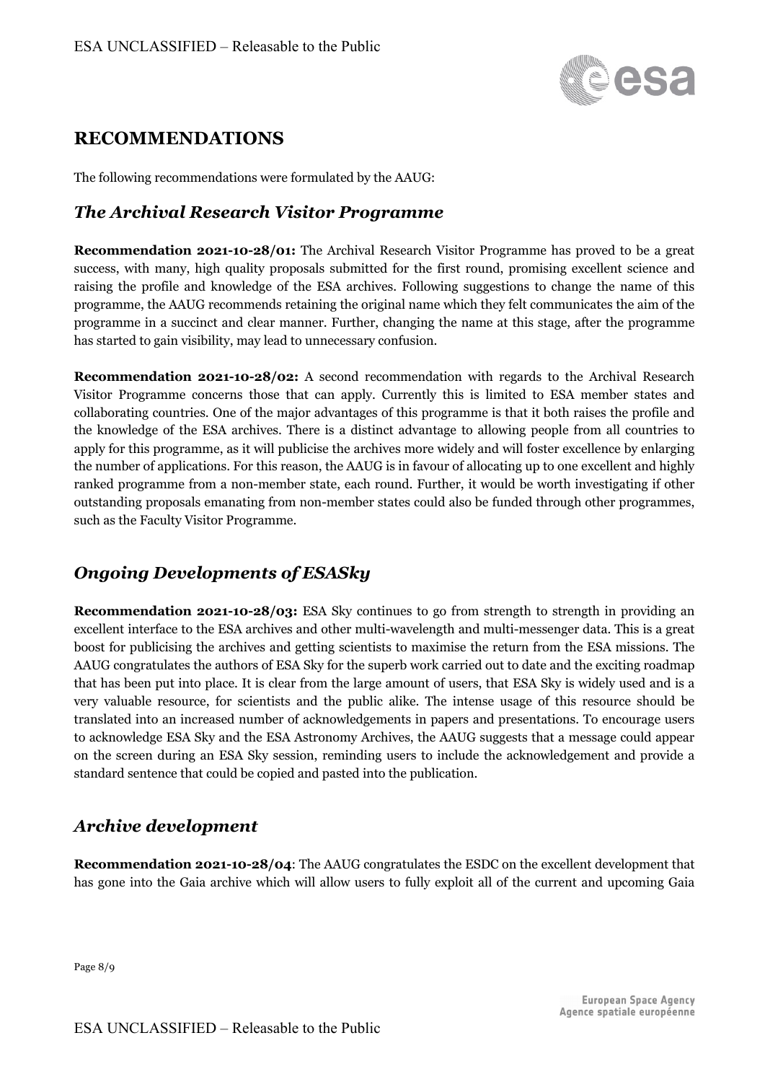

## **RECOMMENDATIONS**

The following recommendations were formulated by the AAUG:

## *The Archival Research Visitor Programme*

**Recommendation 2021-10-28/01:** The Archival Research Visitor Programme has proved to be a great success, with many, high quality proposals submitted for the first round, promising excellent science and raising the profile and knowledge of the ESA archives. Following suggestions to change the name of this programme, the AAUG recommends retaining the original name which they felt communicates the aim of the programme in a succinct and clear manner. Further, changing the name at this stage, after the programme has started to gain visibility, may lead to unnecessary confusion.

**Recommendation 2021-10-28/02:** A second recommendation with regards to the Archival Research Visitor Programme concerns those that can apply. Currently this is limited to ESA member states and collaborating countries. One of the major advantages of this programme is that it both raises the profile and the knowledge of the ESA archives. There is a distinct advantage to allowing people from all countries to apply for this programme, as it will publicise the archives more widely and will foster excellence by enlarging the number of applications. For this reason, the AAUG is in favour of allocating up to one excellent and highly ranked programme from a non-member state, each round. Further, it would be worth investigating if other outstanding proposals emanating from non-member states could also be funded through other programmes, such as the Faculty Visitor Programme.

## *Ongoing Developments of ESASky*

**Recommendation 2021-10-28/03:** ESA Sky continues to go from strength to strength in providing an excellent interface to the ESA archives and other multi-wavelength and multi-messenger data. This is a great boost for publicising the archives and getting scientists to maximise the return from the ESA missions. The AAUG congratulates the authors of ESA Sky for the superb work carried out to date and the exciting roadmap that has been put into place. It is clear from the large amount of users, that ESA Sky is widely used and is a very valuable resource, for scientists and the public alike. The intense usage of this resource should be translated into an increased number of acknowledgements in papers and presentations. To encourage users to acknowledge ESA Sky and the ESA Astronomy Archives, the AAUG suggests that a message could appear on the screen during an ESA Sky session, reminding users to include the acknowledgement and provide a standard sentence that could be copied and pasted into the publication.

## *Archive development*

**Recommendation 2021-10-28/04**: The AAUG congratulates the ESDC on the excellent development that has gone into the Gaia archive which will allow users to fully exploit all of the current and upcoming Gaia

Page 8/9